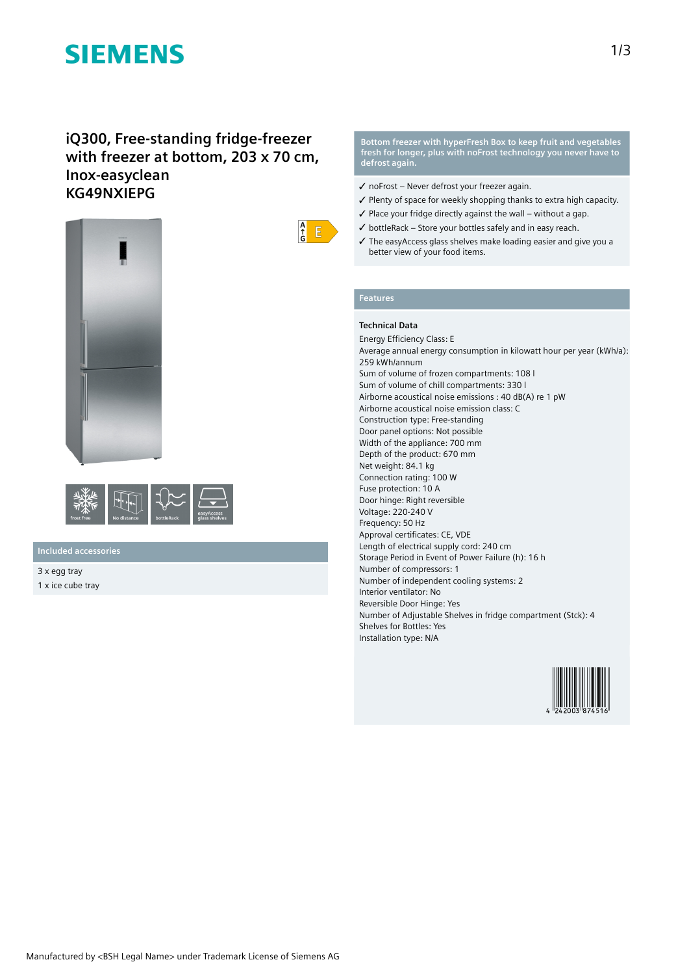# **SIEMENS**

## **iQ300, Free-standing fridge-freezer with freezer at bottom, 203 x 70 cm, Inox-easyclean KG49NXIEPG**





### **Included accessories**

3 x egg tray 1 x ice cube tray **Bottom freezer with hyperFresh Box to keep fruit and vegetables fresh for longer, plus with noFrost technology you never have to defrost again.**

- ✓ noFrost Never defrost your freezer again.
- ✓ Plenty of space for weekly shopping thanks to extra high capacity.
- $\checkmark$  Place your fridge directly against the wall without a gap.
- $\checkmark$  bottleRack Store your bottles safely and in easy reach.
- ✓ The easyAccess glass shelves make loading easier and give you a better view of your food items.

### **Features**

 $\frac{A}{f}$  $E$ 

### **Technical Data**

Energy Efficiency Class: E Average annual energy consumption in kilowatt hour per year (kWh/a): 259 kWh/annum Sum of volume of frozen compartments: 108 l Sum of volume of chill compartments: 330 l Airborne acoustical noise emissions : 40 dB(A) re 1 pW Airborne acoustical noise emission class: C Construction type: Free-standing Door panel options: Not possible Width of the appliance: 700 mm Depth of the product: 670 mm Net weight: 84.1 kg Connection rating: 100 W Fuse protection: 10 A Door hinge: Right reversible Voltage: 220-240 V Frequency: 50 Hz Approval certificates: CE, VDE Length of electrical supply cord: 240 cm Storage Period in Event of Power Failure (h): 16 h Number of compressors: 1 Number of independent cooling systems: 2 Interior ventilator: No Reversible Door Hinge: Yes Number of Adjustable Shelves in fridge compartment (Stck): 4 Shelves for Bottles: Yes Installation type: N/A

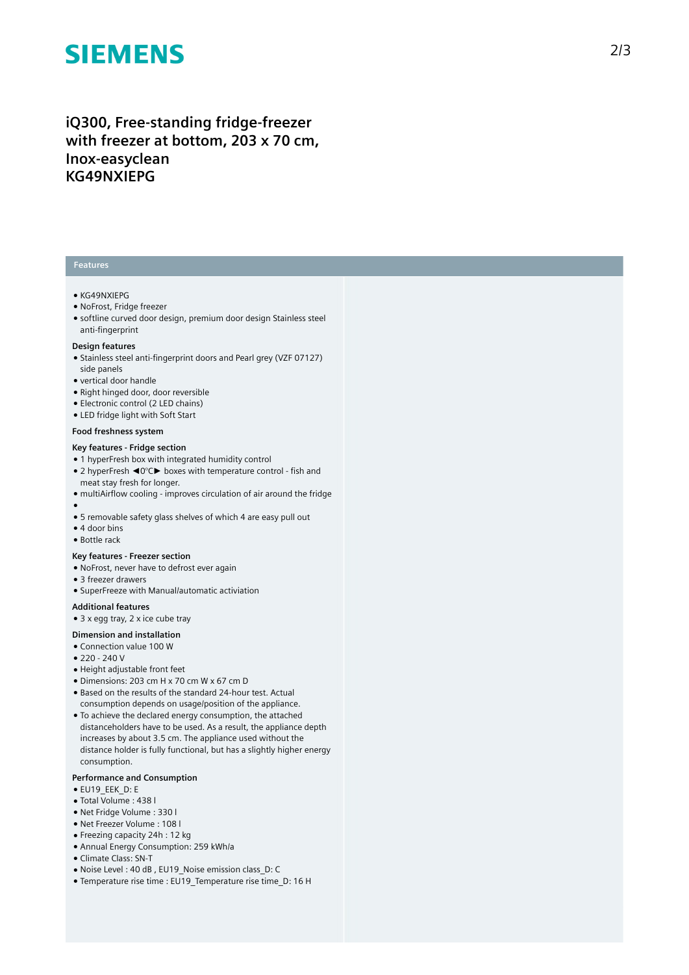# **SIEMENS**

## iQ300, Free-standing fridge-freezer with freezer at bottom, 203 x 70 cm, Inox-easyclean **K G 4 9 N X I E P G**

#### **Features**

#### ● K G 4 9 N XIE P G

- NoFrost, Fridge freezer
- $\bullet$  softline curved door design, premium door design Stainless steel anti-fingerprint

#### Design features

- Stainless steel anti-fingerprint doors and Pearl grey (VZF 07127) side panels
- vertical door handle
- Right hinged door, door reversible
- Electronic control (2 LED chains)
- LED fridge light with Soft Start

#### Food freshness system

#### Key features - Fridge section

- 1 hyperFresh box with integrated humidity control
- 2 hyperFresh ◀0°C► boxes with temperature control fish and meat stay fresh for longer.
- multiAirflow cooling improves circulation of air around the fridge
- ●<br>● 5 removable safety glass shelves of which 4 are easy pull out
- 4 door bins
- Bottle rack

#### **Key** features - Freezer section

- NoFrost, never have to defrost ever again
- 3 freezer drawers
- SuperFreeze with Manual/automatic activiation

#### **A d d i t i o n a l f e a t u r e s**

 $\bullet$  3 x egg tray, 2 x ice cube tray

#### Dimension and installation

- Connection value 100 W
- $220 240V$
- Height adjustable front feet
- Dimensions: 203 cm H x 70 cm W x 67 cm D
- Based on the results of the standard 24-hour test. Actual consumption depends on usage/position of the applianc e .
- To achieve the declared energy consumption, the attached distanceholders have to be used. As a result, the appliance depth increases by about 3.5 cm. The appliance used without the distance holder is fully functional, but has a slightly higher energy consumption.

#### Performance and Consumption

- EU19\_EEK\_D: E
- Total Volume : 4 3 8 l
- Net Fridge Volume : 3 3 0 l
- Net Freezer Volume : 108 l
- Freezing capacity 24h : 12 kg
- Annual Energy Consumption: 259 kWh/a
- Climate Class: SN-T
- Noise Level: 40 dB, EU19 Noise emission class D: C
- Temperature rise time : EU19\_Temperature rise time\_D: 16 H